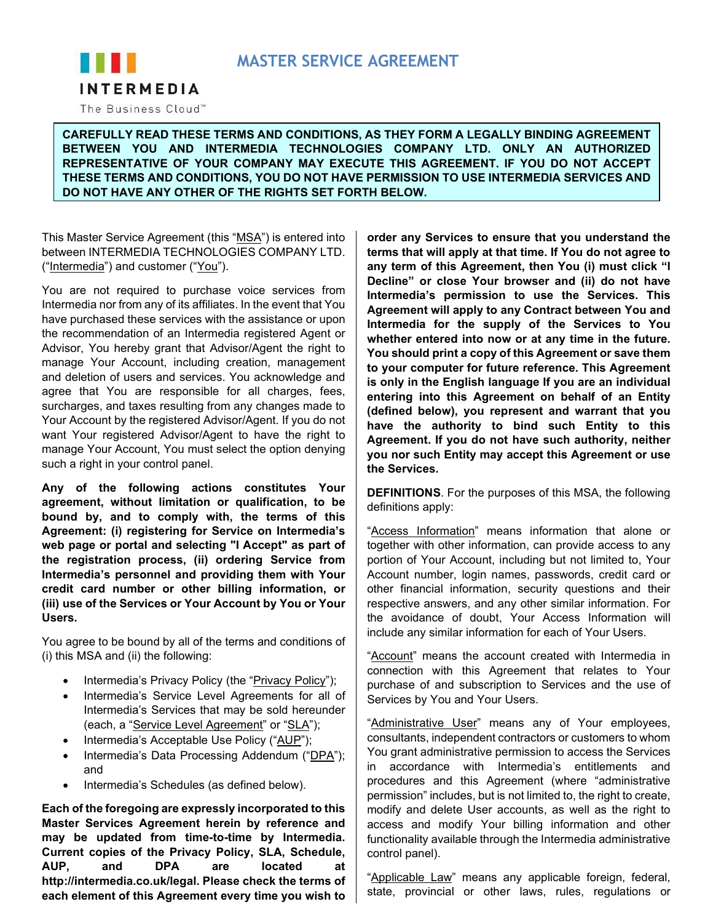# **MASTER SERVICE AGREEMENT**



The Business Cloud™

**CAREFULLY READ THESE TERMS AND CONDITIONS, AS THEY FORM A LEGALLY BINDING AGREEMENT BETWEEN YOU AND INTERMEDIA TECHNOLOGIES COMPANY LTD. ONLY AN AUTHORIZED REPRESENTATIVE OF YOUR COMPANY MAY EXECUTE THIS AGREEMENT. IF YOU DO NOT ACCEPT THESE TERMS AND CONDITIONS, YOU DO NOT HAVE PERMISSION TO USE INTERMEDIA SERVICES AND DO NOT HAVE ANY OTHER OF THE RIGHTS SET FORTH BELOW.**

This Master Service Agreement (this "MSA") is entered into between INTERMEDIA TECHNOLOGIES COMPANY LTD. ("Intermedia") and customer ("You").

You are not required to purchase voice services from Intermedia nor from any of its affiliates. In the event that You have purchased these services with the assistance or upon the recommendation of an Intermedia registered Agent or Advisor, You hereby grant that Advisor/Agent the right to manage Your Account, including creation, management and deletion of users and services. You acknowledge and agree that You are responsible for all charges, fees, surcharges, and taxes resulting from any changes made to Your Account by the registered Advisor/Agent. If you do not want Your registered Advisor/Agent to have the right to manage Your Account, You must select the option denying such a right in your control panel.

**Any of the following actions constitutes Your agreement, without limitation or qualification, to be bound by, and to comply with, the terms of this Agreement: (i) registering for Service on Intermedia's web page or portal and selecting "I Accept" as part of the registration process, (ii) ordering Service from Intermedia's personnel and providing them with Your credit card number or other billing information, or (iii) use of the Services or Your Account by You or Your Users.**

You agree to be bound by all of the terms and conditions of (i) this MSA and (ii) the following:

- Intermedia's Privacy Policy (the "Privacy Policy");
- Intermedia's Service Level Agreements for all of Intermedia's Services that may be sold hereunder (each, a "Service Level Agreement" or "SLA");
- Intermedia's Acceptable Use Policy ("AUP");
- Intermedia's Data Processing Addendum ("DPA"); and
- Intermedia's Schedules (as defined below).

**Each of the foregoing are expressly incorporated to this Master Services Agreement herein by reference and may be updated from time-to-time by Intermedia. Current copies of the Privacy Policy, SLA, Schedule, AUP, and DPA are located at http://intermedia.co.uk/legal. Please check the terms of each element of this Agreement every time you wish to** 

**order any Services to ensure that you understand the terms that will apply at that time. If You do not agree to any term of this Agreement, then You (i) must click "I Decline" or close Your browser and (ii) do not have Intermedia's permission to use the Services. This Agreement will apply to any Contract between You and Intermedia for the supply of the Services to You whether entered into now or at any time in the future. You should print a copy of this Agreement or save them to your computer for future reference. This Agreement is only in the English language If you are an individual entering into this Agreement on behalf of an Entity (defined below), you represent and warrant that you have the authority to bind such Entity to this Agreement. If you do not have such authority, neither you nor such Entity may accept this Agreement or use the Services.**

**DEFINITIONS**. For the purposes of this MSA, the following definitions apply:

"Access Information" means information that alone or together with other information, can provide access to any portion of Your Account, including but not limited to, Your Account number, login names, passwords, credit card or other financial information, security questions and their respective answers, and any other similar information. For the avoidance of doubt, Your Access Information will include any similar information for each of Your Users.

"Account" means the account created with Intermedia in connection with this Agreement that relates to Your purchase of and subscription to Services and the use of Services by You and Your Users.

"Administrative User" means any of Your employees, consultants, independent contractors or customers to whom You grant administrative permission to access the Services in accordance with Intermedia's entitlements and procedures and this Agreement (where "administrative permission" includes, but is not limited to, the right to create, modify and delete User accounts, as well as the right to access and modify Your billing information and other functionality available through the Intermedia administrative control panel).

"Applicable Law" means any applicable foreign, federal, state, provincial or other laws, rules, regulations or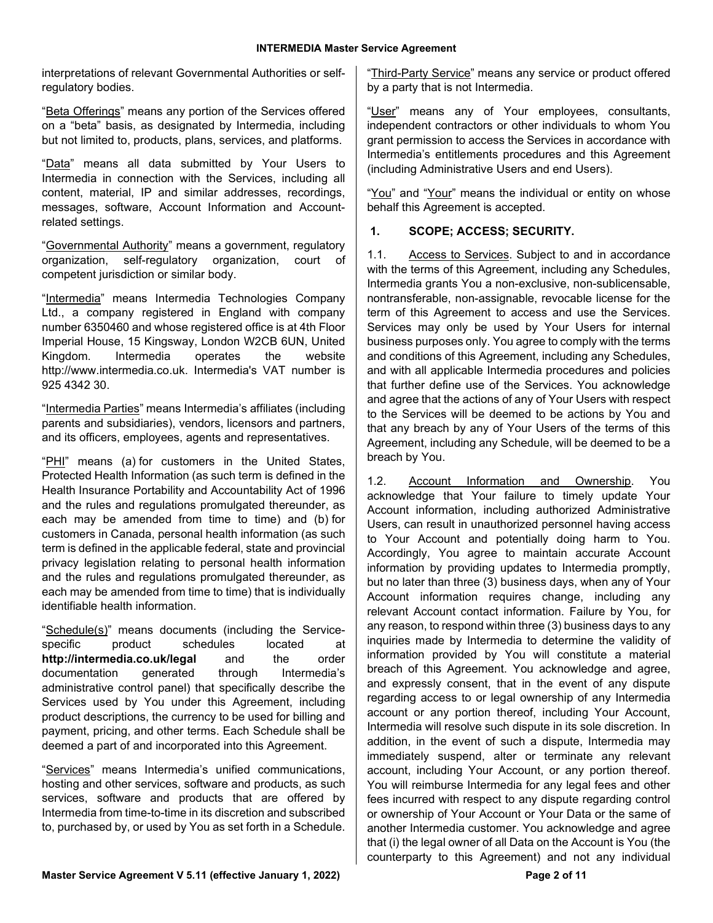interpretations of relevant Governmental Authorities or selfregulatory bodies.

"Beta Offerings" means any portion of the Services offered on a "beta" basis, as designated by Intermedia, including but not limited to, products, plans, services, and platforms.

"Data" means all data submitted by Your Users to Intermedia in connection with the Services, including all content, material, IP and similar addresses, recordings, messages, software, Account Information and Accountrelated settings.

"Governmental Authority" means a government, regulatory organization, self-regulatory organization, court of competent jurisdiction or similar body.

"Intermedia" means Intermedia Technologies Company Ltd., a company registered in England with company number 6350460 and whose registered office is at 4th Floor Imperial House, 15 Kingsway, London W2CB 6UN, United Kingdom. Intermedia operates the website http://www.intermedia.co.uk. Intermedia's VAT number is 925 4342 30.

"Intermedia Parties" means Intermedia's affiliates (including parents and subsidiaries), vendors, licensors and partners, and its officers, employees, agents and representatives.

"PHI" means (a) for customers in the United States, Protected Health Information (as such term is defined in the Health Insurance Portability and Accountability Act of 1996 and the rules and regulations promulgated thereunder, as each may be amended from time to time) and (b) for customers in Canada, personal health information (as such term is defined in the applicable federal, state and provincial privacy legislation relating to personal health information and the rules and regulations promulgated thereunder, as each may be amended from time to time) that is individually identifiable health information.

"Schedule(s)" means documents (including the Servicespecific product schedules located at **http://intermedia.co.uk/legal** and the order documentation generated through Intermedia's administrative control panel) that specifically describe the Services used by You under this Agreement, including product descriptions, the currency to be used for billing and payment, pricing, and other terms. Each Schedule shall be deemed a part of and incorporated into this Agreement.

"Services" means Intermedia's unified communications, hosting and other services, software and products, as such services, software and products that are offered by Intermedia from time-to-time in its discretion and subscribed to, purchased by, or used by You as set forth in a Schedule.

"Third-Party Service" means any service or product offered by a party that is not Intermedia.

"User" means any of Your employees, consultants, independent contractors or other individuals to whom You grant permission to access the Services in accordance with Intermedia's entitlements procedures and this Agreement (including Administrative Users and end Users).

"You" and "Your" means the individual or entity on whose behalf this Agreement is accepted.

#### **1. SCOPE; ACCESS; SECURITY.**

1.1. Access to Services. Subject to and in accordance with the terms of this Agreement, including any Schedules, Intermedia grants You a non-exclusive, non-sublicensable, nontransferable, non-assignable, revocable license for the term of this Agreement to access and use the Services. Services may only be used by Your Users for internal business purposes only. You agree to comply with the terms and conditions of this Agreement, including any Schedules, and with all applicable Intermedia procedures and policies that further define use of the Services. You acknowledge and agree that the actions of any of Your Users with respect to the Services will be deemed to be actions by You and that any breach by any of Your Users of the terms of this Agreement, including any Schedule, will be deemed to be a breach by You.

1.2. Account Information and Ownership. You acknowledge that Your failure to timely update Your Account information, including authorized Administrative Users, can result in unauthorized personnel having access to Your Account and potentially doing harm to You. Accordingly, You agree to maintain accurate Account information by providing updates to Intermedia promptly, but no later than three (3) business days, when any of Your Account information requires change, including any relevant Account contact information. Failure by You, for any reason, to respond within three (3) business days to any inquiries made by Intermedia to determine the validity of information provided by You will constitute a material breach of this Agreement. You acknowledge and agree, and expressly consent, that in the event of any dispute regarding access to or legal ownership of any Intermedia account or any portion thereof, including Your Account, Intermedia will resolve such dispute in its sole discretion. In addition, in the event of such a dispute, Intermedia may immediately suspend, alter or terminate any relevant account, including Your Account, or any portion thereof. You will reimburse Intermedia for any legal fees and other fees incurred with respect to any dispute regarding control or ownership of Your Account or Your Data or the same of another Intermedia customer. You acknowledge and agree that (i) the legal owner of all Data on the Account is You (the counterparty to this Agreement) and not any individual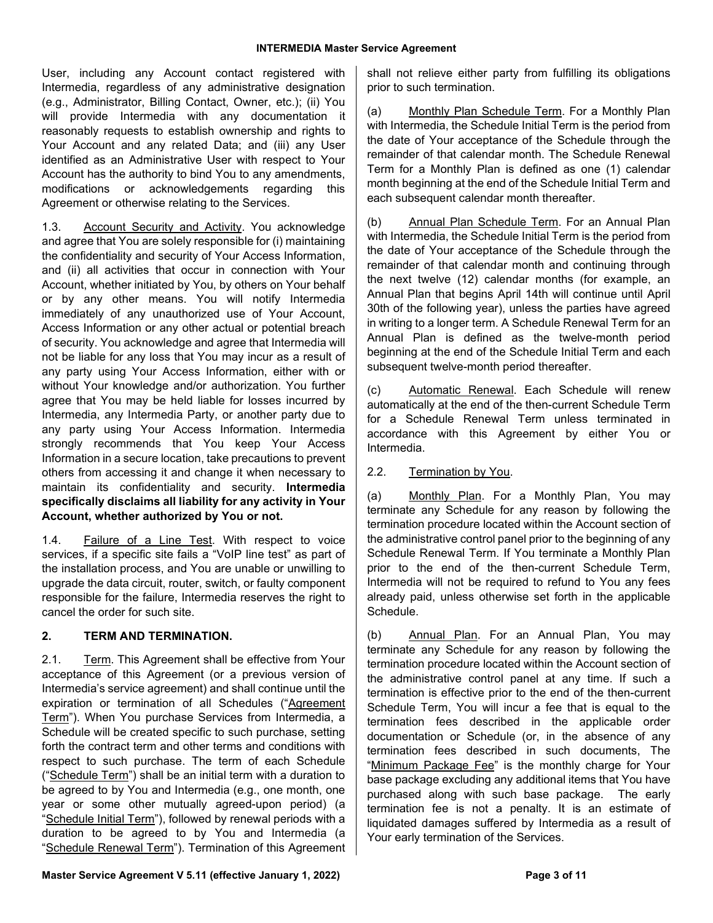User, including any Account contact registered with Intermedia, regardless of any administrative designation (e.g., Administrator, Billing Contact, Owner, etc.); (ii) You will provide Intermedia with any documentation it reasonably requests to establish ownership and rights to Your Account and any related Data; and (iii) any User identified as an Administrative User with respect to Your Account has the authority to bind You to any amendments, modifications or acknowledgements regarding this Agreement or otherwise relating to the Services.

1.3. Account Security and Activity. You acknowledge and agree that You are solely responsible for (i) maintaining the confidentiality and security of Your Access Information, and (ii) all activities that occur in connection with Your Account, whether initiated by You, by others on Your behalf or by any other means. You will notify Intermedia immediately of any unauthorized use of Your Account, Access Information or any other actual or potential breach of security. You acknowledge and agree that Intermedia will not be liable for any loss that You may incur as a result of any party using Your Access Information, either with or without Your knowledge and/or authorization. You further agree that You may be held liable for losses incurred by Intermedia, any Intermedia Party, or another party due to any party using Your Access Information. Intermedia strongly recommends that You keep Your Access Information in a secure location, take precautions to prevent others from accessing it and change it when necessary to maintain its confidentiality and security. **Intermedia specifically disclaims all liability for any activity in Your Account, whether authorized by You or not.**

1.4. Failure of a Line Test. With respect to voice services, if a specific site fails a "VoIP line test" as part of the installation process, and You are unable or unwilling to upgrade the data circuit, router, switch, or faulty component responsible for the failure, Intermedia reserves the right to cancel the order for such site.

## **2. TERM AND TERMINATION.**

2.1. Term. This Agreement shall be effective from Your acceptance of this Agreement (or a previous version of Intermedia's service agreement) and shall continue until the expiration or termination of all Schedules ("Agreement Term"). When You purchase Services from Intermedia, a Schedule will be created specific to such purchase, setting forth the contract term and other terms and conditions with respect to such purchase. The term of each Schedule ("Schedule Term") shall be an initial term with a duration to be agreed to by You and Intermedia (e.g., one month, one year or some other mutually agreed-upon period) (a "Schedule Initial Term"), followed by renewal periods with a duration to be agreed to by You and Intermedia (a "Schedule Renewal Term"). Termination of this Agreement shall not relieve either party from fulfilling its obligations prior to such termination.

(a) Monthly Plan Schedule Term. For a Monthly Plan with Intermedia, the Schedule Initial Term is the period from the date of Your acceptance of the Schedule through the remainder of that calendar month. The Schedule Renewal Term for a Monthly Plan is defined as one (1) calendar month beginning at the end of the Schedule Initial Term and each subsequent calendar month thereafter.

(b) Annual Plan Schedule Term. For an Annual Plan with Intermedia, the Schedule Initial Term is the period from the date of Your acceptance of the Schedule through the remainder of that calendar month and continuing through the next twelve (12) calendar months (for example, an Annual Plan that begins April 14th will continue until April 30th of the following year), unless the parties have agreed in writing to a longer term. A Schedule Renewal Term for an Annual Plan is defined as the twelve-month period beginning at the end of the Schedule Initial Term and each subsequent twelve-month period thereafter.

(c) Automatic Renewal. Each Schedule will renew automatically at the end of the then-current Schedule Term for a Schedule Renewal Term unless terminated in accordance with this Agreement by either You or Intermedia.

## 2.2. Termination by You.

(a) Monthly Plan. For a Monthly Plan, You may terminate any Schedule for any reason by following the termination procedure located within the Account section of the administrative control panel prior to the beginning of any Schedule Renewal Term. If You terminate a Monthly Plan prior to the end of the then-current Schedule Term, Intermedia will not be required to refund to You any fees already paid, unless otherwise set forth in the applicable Schedule.

(b) Annual Plan. For an Annual Plan, You may terminate any Schedule for any reason by following the termination procedure located within the Account section of the administrative control panel at any time. If such a termination is effective prior to the end of the then-current Schedule Term, You will incur a fee that is equal to the termination fees described in the applicable order documentation or Schedule (or, in the absence of any termination fees described in such documents, The "Minimum Package Fee" is the monthly charge for Your base package excluding any additional items that You have purchased along with such base package. The early termination fee is not a penalty. It is an estimate of liquidated damages suffered by Intermedia as a result of Your early termination of the Services.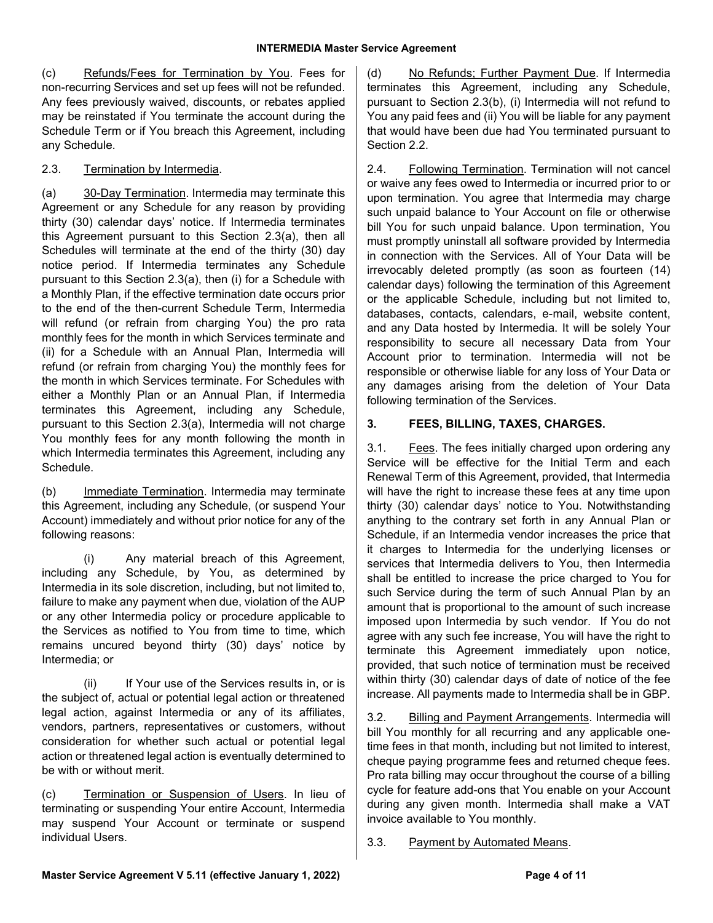(c) Refunds/Fees for Termination by You. Fees for non-recurring Services and set up fees will not be refunded. Any fees previously waived, discounts, or rebates applied may be reinstated if You terminate the account during the Schedule Term or if You breach this Agreement, including any Schedule.

### 2.3. Termination by Intermedia.

(a) 30-Day Termination. Intermedia may terminate this Agreement or any Schedule for any reason by providing thirty (30) calendar days' notice. If Intermedia terminates this Agreement pursuant to this Section 2.3(a), then all Schedules will terminate at the end of the thirty (30) day notice period. If Intermedia terminates any Schedule pursuant to this Section 2.3(a), then (i) for a Schedule with a Monthly Plan, if the effective termination date occurs prior to the end of the then-current Schedule Term, Intermedia will refund (or refrain from charging You) the pro rata monthly fees for the month in which Services terminate and (ii) for a Schedule with an Annual Plan, Intermedia will refund (or refrain from charging You) the monthly fees for the month in which Services terminate. For Schedules with either a Monthly Plan or an Annual Plan, if Intermedia terminates this Agreement, including any Schedule, pursuant to this Section 2.3(a), Intermedia will not charge You monthly fees for any month following the month in which Intermedia terminates this Agreement, including any Schedule.

(b) Immediate Termination. Intermedia may terminate this Agreement, including any Schedule, (or suspend Your Account) immediately and without prior notice for any of the following reasons:

(i) Any material breach of this Agreement, including any Schedule, by You, as determined by Intermedia in its sole discretion, including, but not limited to, failure to make any payment when due, violation of the AUP or any other Intermedia policy or procedure applicable to the Services as notified to You from time to time, which remains uncured beyond thirty (30) days' notice by Intermedia; or

(ii) If Your use of the Services results in, or is the subject of, actual or potential legal action or threatened legal action, against Intermedia or any of its affiliates, vendors, partners, representatives or customers, without consideration for whether such actual or potential legal action or threatened legal action is eventually determined to be with or without merit.

(c) Termination or Suspension of Users. In lieu of terminating or suspending Your entire Account, Intermedia may suspend Your Account or terminate or suspend individual Users.

(d) No Refunds; Further Payment Due. If Intermedia terminates this Agreement, including any Schedule, pursuant to Section 2.3(b), (i) Intermedia will not refund to You any paid fees and (ii) You will be liable for any payment that would have been due had You terminated pursuant to Section 2.2.

2.4. Following Termination. Termination will not cancel or waive any fees owed to Intermedia or incurred prior to or upon termination. You agree that Intermedia may charge such unpaid balance to Your Account on file or otherwise bill You for such unpaid balance. Upon termination, You must promptly uninstall all software provided by Intermedia in connection with the Services. All of Your Data will be irrevocably deleted promptly (as soon as fourteen (14) calendar days) following the termination of this Agreement or the applicable Schedule, including but not limited to, databases, contacts, calendars, e-mail, website content, and any Data hosted by Intermedia. It will be solely Your responsibility to secure all necessary Data from Your Account prior to termination. Intermedia will not be responsible or otherwise liable for any loss of Your Data or any damages arising from the deletion of Your Data following termination of the Services.

## **3. FEES, BILLING, TAXES, CHARGES.**

3.1. Fees. The fees initially charged upon ordering any Service will be effective for the Initial Term and each Renewal Term of this Agreement, provided, that Intermedia will have the right to increase these fees at any time upon thirty (30) calendar days' notice to You. Notwithstanding anything to the contrary set forth in any Annual Plan or Schedule, if an Intermedia vendor increases the price that it charges to Intermedia for the underlying licenses or services that Intermedia delivers to You, then Intermedia shall be entitled to increase the price charged to You for such Service during the term of such Annual Plan by an amount that is proportional to the amount of such increase imposed upon Intermedia by such vendor. If You do not agree with any such fee increase, You will have the right to terminate this Agreement immediately upon notice, provided, that such notice of termination must be received within thirty (30) calendar days of date of notice of the fee increase. All payments made to Intermedia shall be in GBP.

3.2. Billing and Payment Arrangements. Intermedia will bill You monthly for all recurring and any applicable onetime fees in that month, including but not limited to interest, cheque paying programme fees and returned cheque fees. Pro rata billing may occur throughout the course of a billing cycle for feature add-ons that You enable on your Account during any given month. Intermedia shall make a VAT invoice available to You monthly.

3.3. Payment by Automated Means.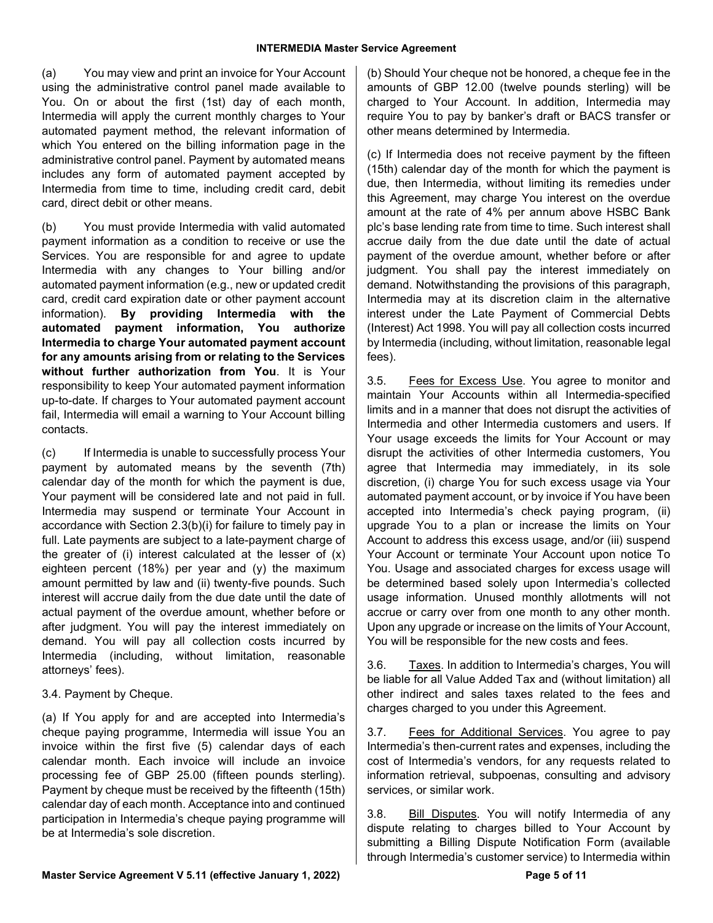(a) You may view and print an invoice for Your Account using the administrative control panel made available to You. On or about the first (1st) day of each month, Intermedia will apply the current monthly charges to Your automated payment method, the relevant information of which You entered on the billing information page in the administrative control panel. Payment by automated means includes any form of automated payment accepted by Intermedia from time to time, including credit card, debit card, direct debit or other means.

(b) You must provide Intermedia with valid automated payment information as a condition to receive or use the Services. You are responsible for and agree to update Intermedia with any changes to Your billing and/or automated payment information (e.g., new or updated credit card, credit card expiration date or other payment account information). **By providing Intermedia with the automated payment information, You authorize Intermedia to charge Your automated payment account for any amounts arising from or relating to the Services without further authorization from You**. It is Your responsibility to keep Your automated payment information up-to-date. If charges to Your automated payment account fail, Intermedia will email a warning to Your Account billing contacts.

(c) If Intermedia is unable to successfully process Your payment by automated means by the seventh (7th) calendar day of the month for which the payment is due, Your payment will be considered late and not paid in full. Intermedia may suspend or terminate Your Account in accordance with Section 2.3(b)(i) for failure to timely pay in full. Late payments are subject to a late-payment charge of the greater of (i) interest calculated at the lesser of  $(x)$ eighteen percent (18%) per year and (y) the maximum amount permitted by law and (ii) twenty-five pounds. Such interest will accrue daily from the due date until the date of actual payment of the overdue amount, whether before or after judgment. You will pay the interest immediately on demand. You will pay all collection costs incurred by Intermedia (including, without limitation, reasonable attorneys' fees).

3.4. Payment by Cheque.

(a) If You apply for and are accepted into Intermedia's cheque paying programme, Intermedia will issue You an invoice within the first five (5) calendar days of each calendar month. Each invoice will include an invoice processing fee of GBP 25.00 (fifteen pounds sterling). Payment by cheque must be received by the fifteenth (15th) calendar day of each month. Acceptance into and continued participation in Intermedia's cheque paying programme will be at Intermedia's sole discretion.

(b) Should Your cheque not be honored, a cheque fee in the amounts of GBP 12.00 (twelve pounds sterling) will be charged to Your Account. In addition, Intermedia may require You to pay by banker's draft or BACS transfer or other means determined by Intermedia.

(c) If Intermedia does not receive payment by the fifteen (15th) calendar day of the month for which the payment is due, then Intermedia, without limiting its remedies under this Agreement, may charge You interest on the overdue amount at the rate of 4% per annum above HSBC Bank plc's base lending rate from time to time. Such interest shall accrue daily from the due date until the date of actual payment of the overdue amount, whether before or after judgment. You shall pay the interest immediately on demand. Notwithstanding the provisions of this paragraph, Intermedia may at its discretion claim in the alternative interest under the Late Payment of Commercial Debts (Interest) Act 1998. You will pay all collection costs incurred by Intermedia (including, without limitation, reasonable legal fees).

3.5. Fees for Excess Use. You agree to monitor and maintain Your Accounts within all Intermedia-specified limits and in a manner that does not disrupt the activities of Intermedia and other Intermedia customers and users. If Your usage exceeds the limits for Your Account or may disrupt the activities of other Intermedia customers, You agree that Intermedia may immediately, in its sole discretion, (i) charge You for such excess usage via Your automated payment account, or by invoice if You have been accepted into Intermedia's check paying program, (ii) upgrade You to a plan or increase the limits on Your Account to address this excess usage, and/or (iii) suspend Your Account or terminate Your Account upon notice To You. Usage and associated charges for excess usage will be determined based solely upon Intermedia's collected usage information. Unused monthly allotments will not accrue or carry over from one month to any other month. Upon any upgrade or increase on the limits of Your Account, You will be responsible for the new costs and fees.

3.6. Taxes. In addition to Intermedia's charges, You will be liable for all Value Added Tax and (without limitation) all other indirect and sales taxes related to the fees and charges charged to you under this Agreement.

3.7. Fees for Additional Services. You agree to pay Intermedia's then-current rates and expenses, including the cost of Intermedia's vendors, for any requests related to information retrieval, subpoenas, consulting and advisory services, or similar work.

3.8. Bill Disputes. You will notify Intermedia of any dispute relating to charges billed to Your Account by submitting a Billing Dispute Notification Form (available through Intermedia's customer service) to Intermedia within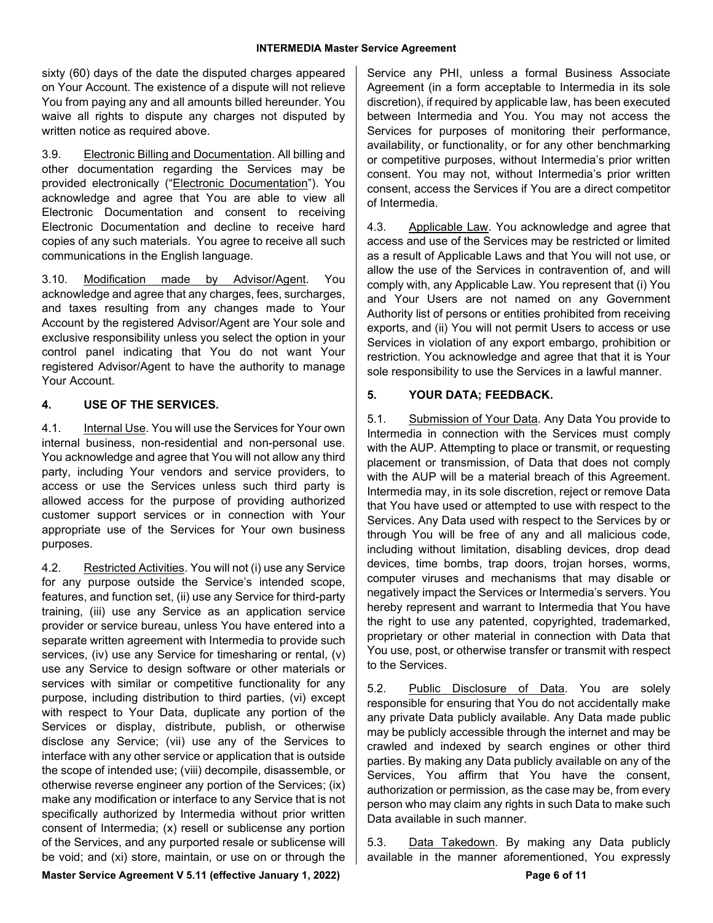sixty (60) days of the date the disputed charges appeared on Your Account. The existence of a dispute will not relieve You from paying any and all amounts billed hereunder. You waive all rights to dispute any charges not disputed by written notice as required above.

3.9. Electronic Billing and Documentation. All billing and other documentation regarding the Services may be provided electronically ("Electronic Documentation"). You acknowledge and agree that You are able to view all Electronic Documentation and consent to receiving Electronic Documentation and decline to receive hard copies of any such materials. You agree to receive all such communications in the English language.

3.10. Modification made by Advisor/Agent. You acknowledge and agree that any charges, fees, surcharges, and taxes resulting from any changes made to Your Account by the registered Advisor/Agent are Your sole and exclusive responsibility unless you select the option in your control panel indicating that You do not want Your registered Advisor/Agent to have the authority to manage Your Account.

## **4. USE OF THE SERVICES.**

4.1. Internal Use. You will use the Services for Your own internal business, non-residential and non-personal use. You acknowledge and agree that You will not allow any third party, including Your vendors and service providers, to access or use the Services unless such third party is allowed access for the purpose of providing authorized customer support services or in connection with Your appropriate use of the Services for Your own business purposes.

4.2. Restricted Activities. You will not (i) use any Service for any purpose outside the Service's intended scope, features, and function set, (ii) use any Service for third-party training, (iii) use any Service as an application service provider or service bureau, unless You have entered into a separate written agreement with Intermedia to provide such services, (iv) use any Service for timesharing or rental, (v) use any Service to design software or other materials or services with similar or competitive functionality for any purpose, including distribution to third parties, (vi) except with respect to Your Data, duplicate any portion of the Services or display, distribute, publish, or otherwise disclose any Service; (vii) use any of the Services to interface with any other service or application that is outside the scope of intended use; (viii) decompile, disassemble, or otherwise reverse engineer any portion of the Services; (ix) make any modification or interface to any Service that is not specifically authorized by Intermedia without prior written consent of Intermedia; (x) resell or sublicense any portion of the Services, and any purported resale or sublicense will be void; and (xi) store, maintain, or use on or through the

Service any PHI, unless a formal Business Associate Agreement (in a form acceptable to Intermedia in its sole discretion), if required by applicable law, has been executed between Intermedia and You. You may not access the Services for purposes of monitoring their performance, availability, or functionality, or for any other benchmarking or competitive purposes, without Intermedia's prior written consent. You may not, without Intermedia's prior written consent, access the Services if You are a direct competitor of Intermedia.

4.3. Applicable Law. You acknowledge and agree that access and use of the Services may be restricted or limited as a result of Applicable Laws and that You will not use, or allow the use of the Services in contravention of, and will comply with, any Applicable Law. You represent that (i) You and Your Users are not named on any Government Authority list of persons or entities prohibited from receiving exports, and (ii) You will not permit Users to access or use Services in violation of any export embargo, prohibition or restriction. You acknowledge and agree that that it is Your sole responsibility to use the Services in a lawful manner.

## **5. YOUR DATA; FEEDBACK.**

5.1. Submission of Your Data. Any Data You provide to Intermedia in connection with the Services must comply with the AUP. Attempting to place or transmit, or requesting placement or transmission, of Data that does not comply with the AUP will be a material breach of this Agreement. Intermedia may, in its sole discretion, reject or remove Data that You have used or attempted to use with respect to the Services. Any Data used with respect to the Services by or through You will be free of any and all malicious code, including without limitation, disabling devices, drop dead devices, time bombs, trap doors, trojan horses, worms, computer viruses and mechanisms that may disable or negatively impact the Services or Intermedia's servers. You hereby represent and warrant to Intermedia that You have the right to use any patented, copyrighted, trademarked, proprietary or other material in connection with Data that You use, post, or otherwise transfer or transmit with respect to the Services.

5.2. Public Disclosure of Data. You are solely responsible for ensuring that You do not accidentally make any private Data publicly available. Any Data made public may be publicly accessible through the internet and may be crawled and indexed by search engines or other third parties. By making any Data publicly available on any of the Services, You affirm that You have the consent, authorization or permission, as the case may be, from every person who may claim any rights in such Data to make such Data available in such manner.

5.3. Data Takedown. By making any Data publicly available in the manner aforementioned, You expressly

**Master Service Agreement V 5.11** (effective January 1, 2022) **Page 6 Page 6** of 11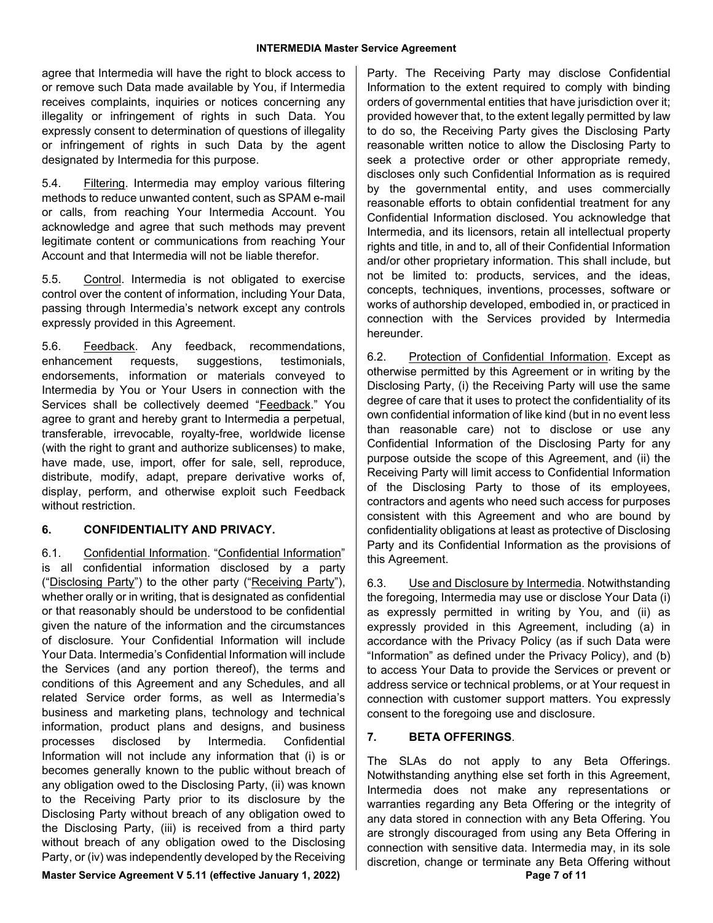agree that Intermedia will have the right to block access to or remove such Data made available by You, if Intermedia receives complaints, inquiries or notices concerning any illegality or infringement of rights in such Data. You expressly consent to determination of questions of illegality or infringement of rights in such Data by the agent designated by Intermedia for this purpose.

5.4. Filtering. Intermedia may employ various filtering methods to reduce unwanted content, such as SPAM e-mail or calls, from reaching Your Intermedia Account. You acknowledge and agree that such methods may prevent legitimate content or communications from reaching Your Account and that Intermedia will not be liable therefor.

5.5. Control. Intermedia is not obligated to exercise control over the content of information, including Your Data, passing through Intermedia's network except any controls expressly provided in this Agreement.

5.6. Feedback. Any feedback, recommendations, enhancement requests, suggestions, testimonials, endorsements, information or materials conveyed to Intermedia by You or Your Users in connection with the Services shall be collectively deemed "Feedback." You agree to grant and hereby grant to Intermedia a perpetual, transferable, irrevocable, royalty-free, worldwide license (with the right to grant and authorize sublicenses) to make, have made, use, import, offer for sale, sell, reproduce, distribute, modify, adapt, prepare derivative works of, display, perform, and otherwise exploit such Feedback without restriction

#### **6. CONFIDENTIALITY AND PRIVACY.**

6.1. Confidential Information. "Confidential Information" is all confidential information disclosed by a party ("Disclosing Party") to the other party ("Receiving Party"), whether orally or in writing, that is designated as confidential or that reasonably should be understood to be confidential given the nature of the information and the circumstances of disclosure. Your Confidential Information will include Your Data. Intermedia's Confidential Information will include the Services (and any portion thereof), the terms and conditions of this Agreement and any Schedules, and all related Service order forms, as well as Intermedia's business and marketing plans, technology and technical information, product plans and designs, and business processes disclosed by Intermedia. Confidential Information will not include any information that (i) is or becomes generally known to the public without breach of any obligation owed to the Disclosing Party, (ii) was known to the Receiving Party prior to its disclosure by the Disclosing Party without breach of any obligation owed to the Disclosing Party, (iii) is received from a third party without breach of any obligation owed to the Disclosing Party, or (iv) was independently developed by the Receiving

Party. The Receiving Party may disclose Confidential Information to the extent required to comply with binding orders of governmental entities that have jurisdiction over it; provided however that, to the extent legally permitted by law to do so, the Receiving Party gives the Disclosing Party reasonable written notice to allow the Disclosing Party to seek a protective order or other appropriate remedy, discloses only such Confidential Information as is required by the governmental entity, and uses commercially reasonable efforts to obtain confidential treatment for any Confidential Information disclosed. You acknowledge that Intermedia, and its licensors, retain all intellectual property rights and title, in and to, all of their Confidential Information and/or other proprietary information. This shall include, but not be limited to: products, services, and the ideas, concepts, techniques, inventions, processes, software or works of authorship developed, embodied in, or practiced in connection with the Services provided by Intermedia hereunder.

6.2. Protection of Confidential Information. Except as otherwise permitted by this Agreement or in writing by the Disclosing Party, (i) the Receiving Party will use the same degree of care that it uses to protect the confidentiality of its own confidential information of like kind (but in no event less than reasonable care) not to disclose or use any Confidential Information of the Disclosing Party for any purpose outside the scope of this Agreement, and (ii) the Receiving Party will limit access to Confidential Information of the Disclosing Party to those of its employees, contractors and agents who need such access for purposes consistent with this Agreement and who are bound by confidentiality obligations at least as protective of Disclosing Party and its Confidential Information as the provisions of this Agreement.

6.3. Use and Disclosure by Intermedia. Notwithstanding the foregoing, Intermedia may use or disclose Your Data (i) as expressly permitted in writing by You, and (ii) as expressly provided in this Agreement, including (a) in accordance with the Privacy Policy (as if such Data were "Information" as defined under the Privacy Policy), and (b) to access Your Data to provide the Services or prevent or address service or technical problems, or at Your request in connection with customer support matters. You expressly consent to the foregoing use and disclosure.

#### **7. BETA OFFERINGS**.

The SLAs do not apply to any Beta Offerings. Notwithstanding anything else set forth in this Agreement, Intermedia does not make any representations or warranties regarding any Beta Offering or the integrity of any data stored in connection with any Beta Offering. You are strongly discouraged from using any Beta Offering in connection with sensitive data. Intermedia may, in its sole discretion, change or terminate any Beta Offering without

**Master Service Agreement V 5.11 (effective January 1, 2022) Page 7 of 11**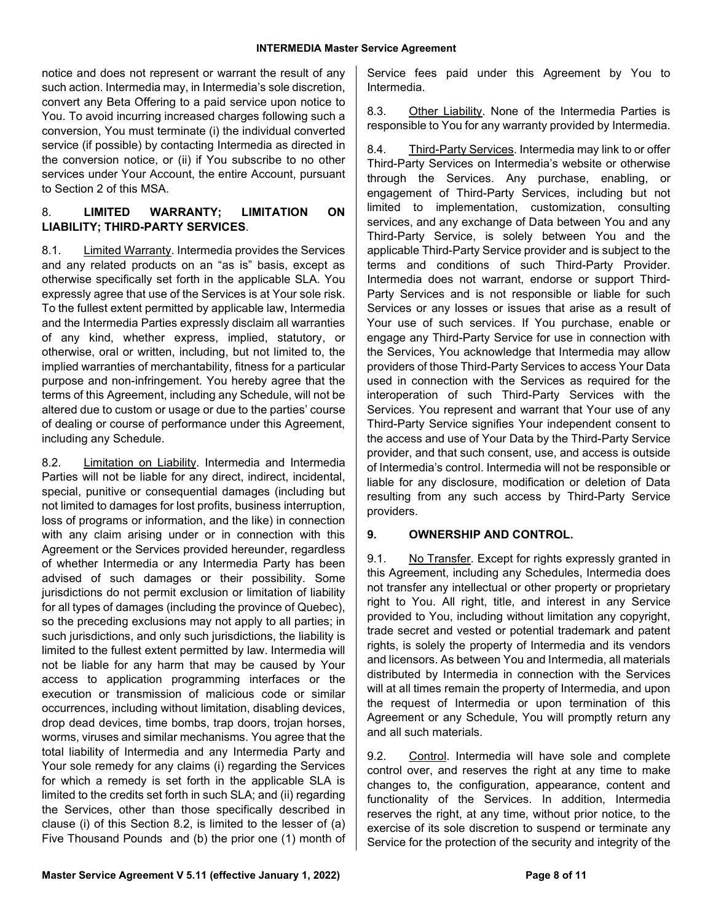notice and does not represent or warrant the result of any such action. Intermedia may, in Intermedia's sole discretion, convert any Beta Offering to a paid service upon notice to You. To avoid incurring increased charges following such a conversion, You must terminate (i) the individual converted service (if possible) by contacting Intermedia as directed in the conversion notice, or (ii) if You subscribe to no other services under Your Account, the entire Account, pursuant to Section 2 of this MSA.

#### 8. **LIMITED WARRANTY; LIMITATION ON LIABILITY; THIRD-PARTY SERVICES**.

8.1. Limited Warranty. Intermedia provides the Services and any related products on an "as is" basis, except as otherwise specifically set forth in the applicable SLA. You expressly agree that use of the Services is at Your sole risk. To the fullest extent permitted by applicable law, Intermedia and the Intermedia Parties expressly disclaim all warranties of any kind, whether express, implied, statutory, or otherwise, oral or written, including, but not limited to, the implied warranties of merchantability, fitness for a particular purpose and non-infringement. You hereby agree that the terms of this Agreement, including any Schedule, will not be altered due to custom or usage or due to the parties' course of dealing or course of performance under this Agreement, including any Schedule.

8.2. Limitation on Liability. Intermedia and Intermedia Parties will not be liable for any direct, indirect, incidental, special, punitive or consequential damages (including but not limited to damages for lost profits, business interruption, loss of programs or information, and the like) in connection with any claim arising under or in connection with this Agreement or the Services provided hereunder, regardless of whether Intermedia or any Intermedia Party has been advised of such damages or their possibility. Some jurisdictions do not permit exclusion or limitation of liability for all types of damages (including the province of Quebec), so the preceding exclusions may not apply to all parties; in such jurisdictions, and only such jurisdictions, the liability is limited to the fullest extent permitted by law. Intermedia will not be liable for any harm that may be caused by Your access to application programming interfaces or the execution or transmission of malicious code or similar occurrences, including without limitation, disabling devices, drop dead devices, time bombs, trap doors, trojan horses, worms, viruses and similar mechanisms. You agree that the total liability of Intermedia and any Intermedia Party and Your sole remedy for any claims (i) regarding the Services for which a remedy is set forth in the applicable SLA is limited to the credits set forth in such SLA; and (ii) regarding the Services, other than those specifically described in clause (i) of this Section 8.2, is limited to the lesser of (a) Five Thousand Pounds and (b) the prior one (1) month of Service fees paid under this Agreement by You to Intermedia.

8.3. Other Liability. None of the Intermedia Parties is responsible to You for any warranty provided by Intermedia.

8.4. Third-Party Services. Intermedia may link to or offer Third-Party Services on Intermedia's website or otherwise through the Services. Any purchase, enabling, or engagement of Third-Party Services, including but not limited to implementation, customization, consulting services, and any exchange of Data between You and any Third-Party Service, is solely between You and the applicable Third-Party Service provider and is subject to the terms and conditions of such Third-Party Provider. Intermedia does not warrant, endorse or support Third-Party Services and is not responsible or liable for such Services or any losses or issues that arise as a result of Your use of such services. If You purchase, enable or engage any Third-Party Service for use in connection with the Services, You acknowledge that Intermedia may allow providers of those Third-Party Services to access Your Data used in connection with the Services as required for the interoperation of such Third-Party Services with the Services. You represent and warrant that Your use of any Third-Party Service signifies Your independent consent to the access and use of Your Data by the Third-Party Service provider, and that such consent, use, and access is outside of Intermedia's control. Intermedia will not be responsible or liable for any disclosure, modification or deletion of Data resulting from any such access by Third-Party Service providers.

#### **9. OWNERSHIP AND CONTROL.**

9.1. No Transfer. Except for rights expressly granted in this Agreement, including any Schedules, Intermedia does not transfer any intellectual or other property or proprietary right to You. All right, title, and interest in any Service provided to You, including without limitation any copyright, trade secret and vested or potential trademark and patent rights, is solely the property of Intermedia and its vendors and licensors. As between You and Intermedia, all materials distributed by Intermedia in connection with the Services will at all times remain the property of Intermedia, and upon the request of Intermedia or upon termination of this Agreement or any Schedule, You will promptly return any and all such materials.

9.2. Control. Intermedia will have sole and complete control over, and reserves the right at any time to make changes to, the configuration, appearance, content and functionality of the Services. In addition, Intermedia reserves the right, at any time, without prior notice, to the exercise of its sole discretion to suspend or terminate any Service for the protection of the security and integrity of the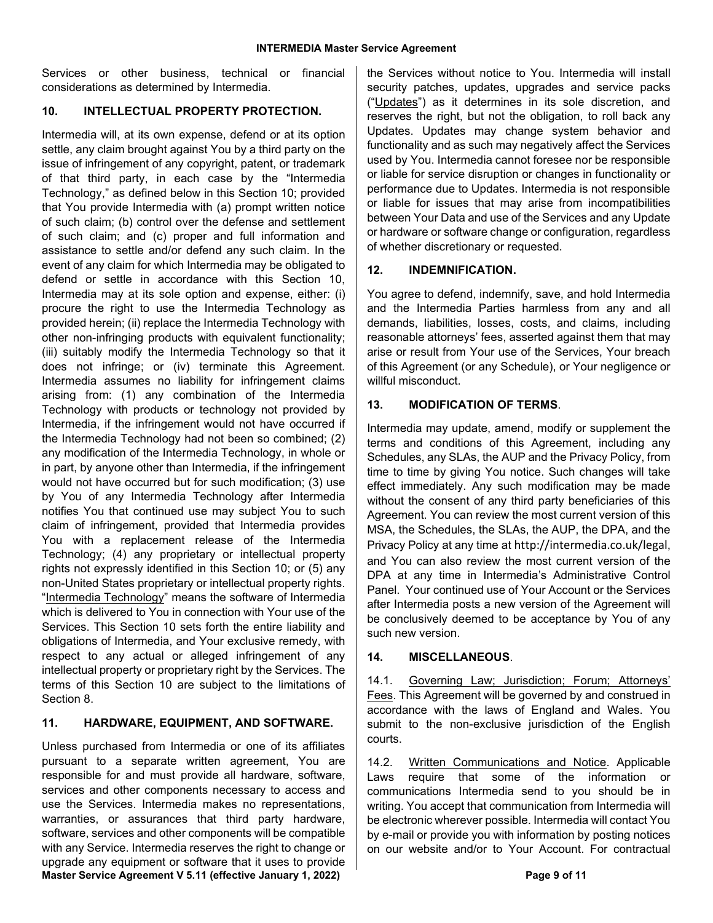Services or other business, technical or financial considerations as determined by Intermedia.

#### **10. INTELLECTUAL PROPERTY PROTECTION.**

Intermedia will, at its own expense, defend or at its option settle, any claim brought against You by a third party on the issue of infringement of any copyright, patent, or trademark of that third party, in each case by the "Intermedia Technology," as defined below in this Section 10; provided that You provide Intermedia with (a) prompt written notice of such claim; (b) control over the defense and settlement of such claim; and (c) proper and full information and assistance to settle and/or defend any such claim. In the event of any claim for which Intermedia may be obligated to defend or settle in accordance with this Section 10, Intermedia may at its sole option and expense, either: (i) procure the right to use the Intermedia Technology as provided herein; (ii) replace the Intermedia Technology with other non-infringing products with equivalent functionality; (iii) suitably modify the Intermedia Technology so that it does not infringe; or (iv) terminate this Agreement. Intermedia assumes no liability for infringement claims arising from: (1) any combination of the Intermedia Technology with products or technology not provided by Intermedia, if the infringement would not have occurred if the Intermedia Technology had not been so combined; (2) any modification of the Intermedia Technology, in whole or in part, by anyone other than Intermedia, if the infringement would not have occurred but for such modification; (3) use by You of any Intermedia Technology after Intermedia notifies You that continued use may subject You to such claim of infringement, provided that Intermedia provides You with a replacement release of the Intermedia Technology; (4) any proprietary or intellectual property rights not expressly identified in this Section 10; or (5) any non-United States proprietary or intellectual property rights. "Intermedia Technology" means the software of Intermedia which is delivered to You in connection with Your use of the Services. This Section 10 sets forth the entire liability and obligations of Intermedia, and Your exclusive remedy, with respect to any actual or alleged infringement of any intellectual property or proprietary right by the Services. The terms of this Section 10 are subject to the limitations of Section 8.

## **11. HARDWARE, EQUIPMENT, AND SOFTWARE.**

**Master Service Agreement V 5.11 (effective January 1, 2022) Page 9 of 11** Unless purchased from Intermedia or one of its affiliates pursuant to a separate written agreement, You are responsible for and must provide all hardware, software, services and other components necessary to access and use the Services. Intermedia makes no representations, warranties, or assurances that third party hardware, software, services and other components will be compatible with any Service. Intermedia reserves the right to change or upgrade any equipment or software that it uses to provide

the Services without notice to You. Intermedia will install security patches, updates, upgrades and service packs ("Updates") as it determines in its sole discretion, and reserves the right, but not the obligation, to roll back any Updates. Updates may change system behavior and functionality and as such may negatively affect the Services used by You. Intermedia cannot foresee nor be responsible or liable for service disruption or changes in functionality or performance due to Updates. Intermedia is not responsible or liable for issues that may arise from incompatibilities between Your Data and use of the Services and any Update or hardware or software change or configuration, regardless of whether discretionary or requested.

## **12. INDEMNIFICATION.**

You agree to defend, indemnify, save, and hold Intermedia and the Intermedia Parties harmless from any and all demands, liabilities, losses, costs, and claims, including reasonable attorneys' fees, asserted against them that may arise or result from Your use of the Services, Your breach of this Agreement (or any Schedule), or Your negligence or willful misconduct.

## **13. MODIFICATION OF TERMS**.

Intermedia may update, amend, modify or supplement the terms and conditions of this Agreement, including any Schedules, any SLAs, the AUP and the Privacy Policy, from time to time by giving You notice. Such changes will take effect immediately. Any such modification may be made without the consent of any third party beneficiaries of this Agreement. You can review the most current version of this MSA, the Schedules, the SLAs, the AUP, the DPA, and the Privacy Policy at any time at http://intermedia.co.uk/legal, and You can also review the most current version of the DPA at any time in Intermedia's Administrative Control Panel. Your continued use of Your Account or the Services after Intermedia posts a new version of the Agreement will be conclusively deemed to be acceptance by You of any such new version.

#### **14. MISCELLANEOUS**.

14.1. Governing Law; Jurisdiction; Forum; Attorneys' Fees. This Agreement will be governed by and construed in accordance with the laws of England and Wales. You submit to the non-exclusive jurisdiction of the English courts.

14.2. Written Communications and Notice. Applicable Laws require that some of the information or communications Intermedia send to you should be in writing. You accept that communication from Intermedia will be electronic wherever possible. Intermedia will contact You by e-mail or provide you with information by posting notices on our website and/or to Your Account. For contractual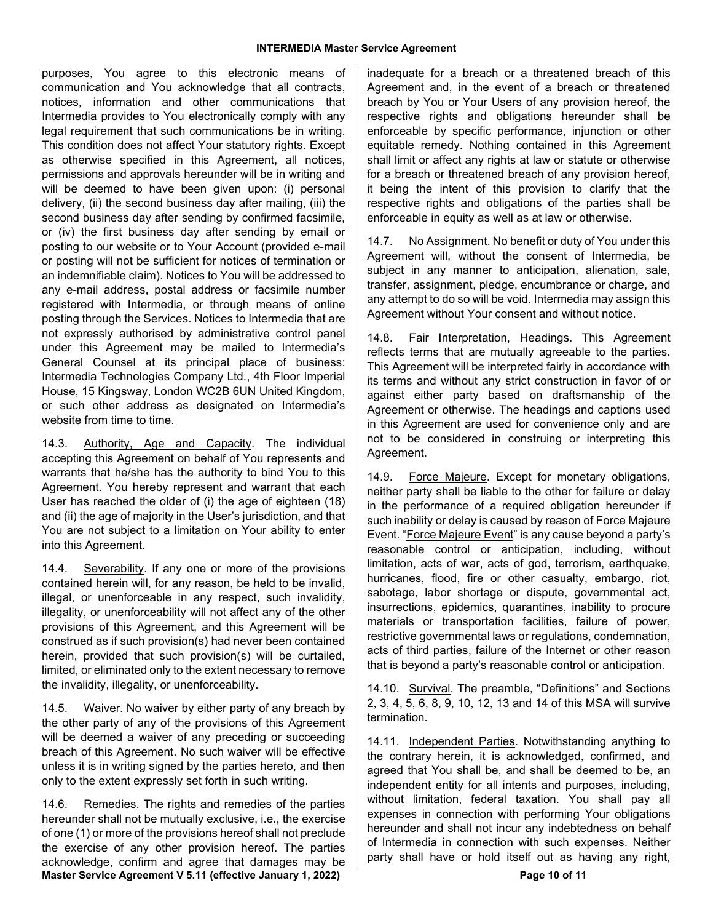purposes, You agree to this electronic means of communication and You acknowledge that all contracts, notices, information and other communications that Intermedia provides to You electronically comply with any legal requirement that such communications be in writing. This condition does not affect Your statutory rights. Except as otherwise specified in this Agreement, all notices, permissions and approvals hereunder will be in writing and will be deemed to have been given upon: (i) personal delivery, (ii) the second business day after mailing, (iii) the second business day after sending by confirmed facsimile, or (iv) the first business day after sending by email or posting to our website or to Your Account (provided e-mail or posting will not be sufficient for notices of termination or an indemnifiable claim). Notices to You will be addressed to any e-mail address, postal address or facsimile number registered with Intermedia, or through means of online posting through the Services. Notices to Intermedia that are not expressly authorised by administrative control panel under this Agreement may be mailed to Intermedia's General Counsel at its principal place of business: Intermedia Technologies Company Ltd., 4th Floor Imperial House, 15 Kingsway, London WC2B 6UN United Kingdom, or such other address as designated on Intermedia's website from time to time.

14.3. Authority, Age and Capacity. The individual accepting this Agreement on behalf of You represents and warrants that he/she has the authority to bind You to this Agreement. You hereby represent and warrant that each User has reached the older of (i) the age of eighteen (18) and (ii) the age of majority in the User's jurisdiction, and that You are not subject to a limitation on Your ability to enter into this Agreement.

14.4. Severability. If any one or more of the provisions contained herein will, for any reason, be held to be invalid, illegal, or unenforceable in any respect, such invalidity, illegality, or unenforceability will not affect any of the other provisions of this Agreement, and this Agreement will be construed as if such provision(s) had never been contained herein, provided that such provision(s) will be curtailed, limited, or eliminated only to the extent necessary to remove the invalidity, illegality, or unenforceability.

14.5. Waiver. No waiver by either party of any breach by the other party of any of the provisions of this Agreement will be deemed a waiver of any preceding or succeeding breach of this Agreement. No such waiver will be effective unless it is in writing signed by the parties hereto, and then only to the extent expressly set forth in such writing.

**Master Service Agreement V 5.11 (effective January 1, 2022) Page 10 of 11** 14.6. Remedies. The rights and remedies of the parties hereunder shall not be mutually exclusive, i.e., the exercise of one (1) or more of the provisions hereof shall not preclude the exercise of any other provision hereof. The parties acknowledge, confirm and agree that damages may be

inadequate for a breach or a threatened breach of this Agreement and, in the event of a breach or threatened breach by You or Your Users of any provision hereof, the respective rights and obligations hereunder shall be enforceable by specific performance, injunction or other equitable remedy. Nothing contained in this Agreement shall limit or affect any rights at law or statute or otherwise for a breach or threatened breach of any provision hereof, it being the intent of this provision to clarify that the respective rights and obligations of the parties shall be enforceable in equity as well as at law or otherwise.

14.7. No Assignment. No benefit or duty of You under this Agreement will, without the consent of Intermedia, be subject in any manner to anticipation, alienation, sale, transfer, assignment, pledge, encumbrance or charge, and any attempt to do so will be void. Intermedia may assign this Agreement without Your consent and without notice.

14.8. Fair Interpretation, Headings. This Agreement reflects terms that are mutually agreeable to the parties. This Agreement will be interpreted fairly in accordance with its terms and without any strict construction in favor of or against either party based on draftsmanship of the Agreement or otherwise. The headings and captions used in this Agreement are used for convenience only and are not to be considered in construing or interpreting this Agreement.

14.9. Force Majeure. Except for monetary obligations, neither party shall be liable to the other for failure or delay in the performance of a required obligation hereunder if such inability or delay is caused by reason of Force Majeure Event. "Force Majeure Event" is any cause beyond a party's reasonable control or anticipation, including, without limitation, acts of war, acts of god, terrorism, earthquake, hurricanes, flood, fire or other casualty, embargo, riot, sabotage, labor shortage or dispute, governmental act, insurrections, epidemics, quarantines, inability to procure materials or transportation facilities, failure of power, restrictive governmental laws or regulations, condemnation, acts of third parties, failure of the Internet or other reason that is beyond a party's reasonable control or anticipation.

14.10. Survival. The preamble, "Definitions" and Sections 2, 3, 4, 5, 6, 8, 9, 10, 12, 13 and 14 of this MSA will survive termination.

14.11. Independent Parties. Notwithstanding anything to the contrary herein, it is acknowledged, confirmed, and agreed that You shall be, and shall be deemed to be, an independent entity for all intents and purposes, including, without limitation, federal taxation. You shall pay all expenses in connection with performing Your obligations hereunder and shall not incur any indebtedness on behalf of Intermedia in connection with such expenses. Neither party shall have or hold itself out as having any right,